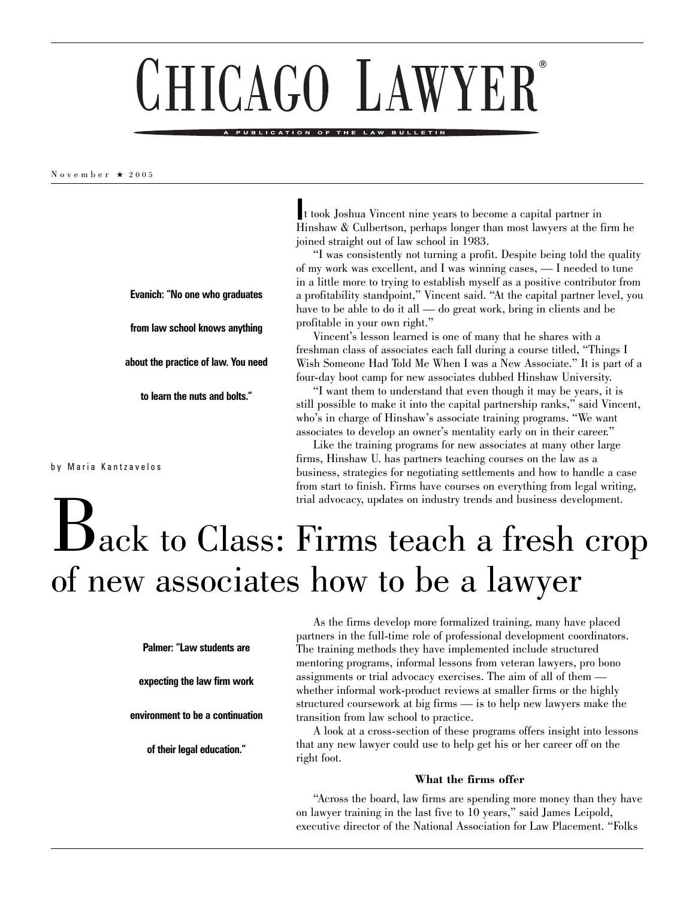# ® CHICAGO LA

#### PUBLICATION OF THE LAW

November ★ 2005

by Maria Kantzavelos

**I**t took Joshua Vincent nine years to become a capital partner in Hinshaw & Culbertson, perhaps longer than most lawyers at the firm he joined straight out of law school in 1983.

"I was consistently not turning a profit. Despite being told the quality of my work was excellent, and I was winning cases, — I needed to tune in a little more to trying to establish myself as a positive contributor from a profitability standpoint," Vincent said. "At the capital partner level, you have to be able to do it all — do great work, bring in clients and be profitable in your own right."

Vincent's lesson learned is one of many that he shares with a freshman class of associates each fall during a course titled, "Things I Wish Someone Had Told Me When I was a New Associate." It is part of a four-day boot camp for new associates dubbed Hinshaw University.

"I want them to understand that even though it may be years, it is still possible to make it into the capital partnership ranks," said Vincent, who's in charge of Hinshaw's associate training programs. "We want associates to develop an owner's mentality early on in their career."

Like the training programs for new associates at many other large firms, Hinshaw U. has partners teaching courses on the law as a business, strategies for negotiating settlements and how to handle a case from start to finish. Firms have courses on everything from legal writing, trial advocacy, updates on industry trends and business development.

# Back to Class: Firms teach a fresh crop of new associates how to be a lawyer

**Palmer: "Law students are**

**Evanich: "No one who graduates**

**from law school knows anything**

**about the practice of law. You need**

**to learn the nuts and bolts."**

**expecting the law firm work**

**environment to be a continuation** 

**of their legal education."**

As the firms develop more formalized training, many have placed partners in the full-time role of professional development coordinators. The training methods they have implemented include structured mentoring programs, informal lessons from veteran lawyers, pro bono assignments or trial advocacy exercises. The aim of all of them whether informal work-product reviews at smaller firms or the highly structured coursework at big firms — is to help new lawyers make the transition from law school to practice.

A look at a cross-section of these programs offers insight into lessons that any new lawyer could use to help get his or her career off on the right foot.

# **What the firms offer**

"Across the board, law firms are spending more money than they have on lawyer training in the last five to 10 years," said James Leipold, executive director of the National Association for Law Placement. "Folks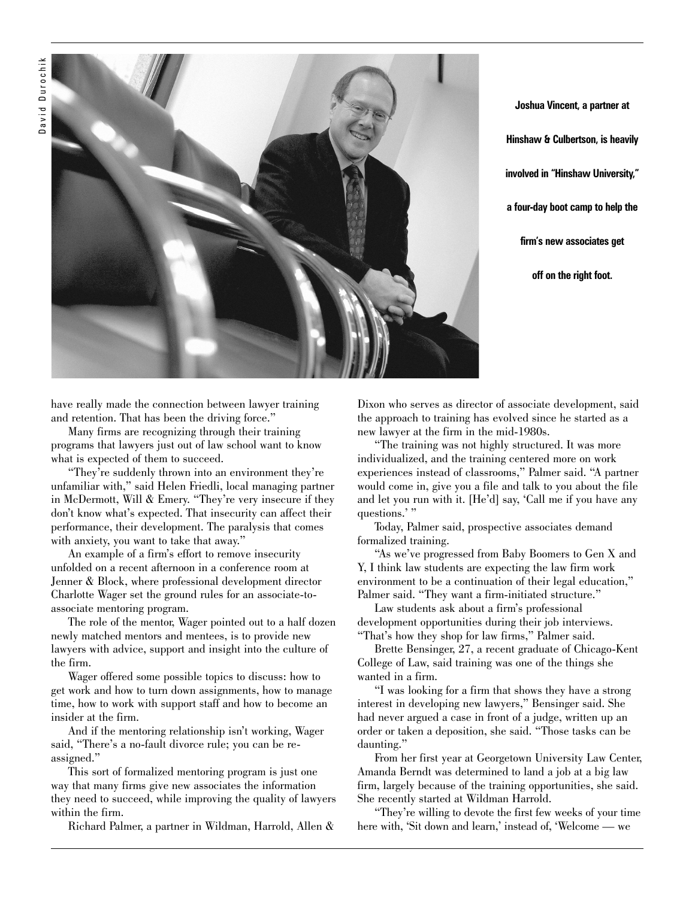

**Joshua Vincent, a partner at Hinshaw & Culbertson, is heavily involved in "Hinshaw University," a four-day boot camp to help the firm's new associates get off on the right foot.**

have really made the connection between lawyer training and retention. That has been the driving force."

Many firms are recognizing through their training programs that lawyers just out of law school want to know what is expected of them to succeed.

"They're suddenly thrown into an environment they're unfamiliar with," said Helen Friedli, local managing partner in McDermott, Will & Emery. "They're very insecure if they don't know what's expected. That insecurity can affect their performance, their development. The paralysis that comes with anxiety, you want to take that away."

An example of a firm's effort to remove insecurity unfolded on a recent afternoon in a conference room at Jenner & Block, where professional development director Charlotte Wager set the ground rules for an associate-toassociate mentoring program.

The role of the mentor, Wager pointed out to a half dozen newly matched mentors and mentees, is to provide new lawyers with advice, support and insight into the culture of the firm.

Wager offered some possible topics to discuss: how to get work and how to turn down assignments, how to manage time, how to work with support staff and how to become an insider at the firm.

And if the mentoring relationship isn't working, Wager said, "There's a no-fault divorce rule; you can be reassigned."

This sort of formalized mentoring program is just one way that many firms give new associates the information they need to succeed, while improving the quality of lawyers within the firm.

Richard Palmer, a partner in Wildman, Harrold, Allen &

Dixon who serves as director of associate development, said the approach to training has evolved since he started as a new lawyer at the firm in the mid-1980s.

"The training was not highly structured. It was more individualized, and the training centered more on work experiences instead of classrooms," Palmer said. "A partner would come in, give you a file and talk to you about the file and let you run with it. [He'd] say, 'Call me if you have any questions.'"

Today, Palmer said, prospective associates demand formalized training.

"As we've progressed from Baby Boomers to Gen X and Y, I think law students are expecting the law firm work environment to be a continuation of their legal education," Palmer said. "They want a firm-initiated structure."

Law students ask about a firm's professional development opportunities during their job interviews. "That's how they shop for law firms," Palmer said.

Brette Bensinger, 27, a recent graduate of Chicago-Kent College of Law, said training was one of the things she wanted in a firm.

"I was looking for a firm that shows they have a strong interest in developing new lawyers," Bensinger said. She had never argued a case in front of a judge, written up an order or taken a deposition, she said. "Those tasks can be daunting."

From her first year at Georgetown University Law Center, Amanda Berndt was determined to land a job at a big law firm, largely because of the training opportunities, she said. She recently started at Wildman Harrold.

"They're willing to devote the first few weeks of your time here with, 'Sit down and learn,' instead of, 'Welcome — we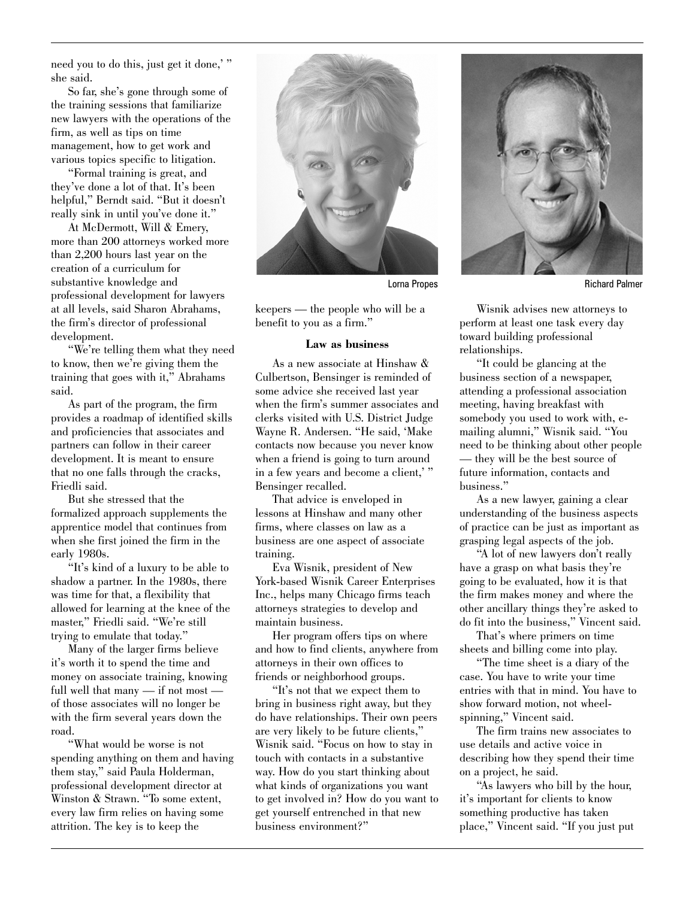need you to do this, just get it done," she said.

So far, she's gone through some of the training sessions that familiarize new lawyers with the operations of the firm, as well as tips on time management, how to get work and various topics specific to litigation.

"Formal training is great, and they've done a lot of that. It's been helpful," Berndt said. "But it doesn't really sink in until you've done it."

At McDermott, Will & Emery, more than 200 attorneys worked more than 2,200 hours last year on the creation of a curriculum for substantive knowledge and professional development for lawyers at all levels, said Sharon Abrahams, the firm's director of professional development.

"We're telling them what they need to know, then we're giving them the training that goes with it," Abrahams said.

As part of the program, the firm provides a roadmap of identified skills and proficiencies that associates and partners can follow in their career development. It is meant to ensure that no one falls through the cracks, Friedli said.

But she stressed that the formalized approach supplements the apprentice model that continues from when she first joined the firm in the early 1980s.

"It's kind of a luxury to be able to shadow a partner. In the 1980s, there was time for that, a flexibility that allowed for learning at the knee of the master," Friedli said. "We're still trying to emulate that today."

Many of the larger firms believe it's worth it to spend the time and money on associate training, knowing full well that many — if not most of those associates will no longer be with the firm several years down the road.

"What would be worse is not spending anything on them and having them stay," said Paula Holderman, professional development director at Winston & Strawn. "To some extent, every law firm relies on having some attrition. The key is to keep the



keepers — the people who will be a benefit to you as a firm."

# **Law as business**

As a new associate at Hinshaw & Culbertson, Bensinger is reminded of some advice she received last year when the firm's summer associates and clerks visited with U.S. District Judge Wayne R. Andersen. "He said, 'Make contacts now because you never know when a friend is going to turn around in a few years and become a client,'" Bensinger recalled.

That advice is enveloped in lessons at Hinshaw and many other firms, where classes on law as a business are one aspect of associate training.

Eva Wisnik, president of New York-based Wisnik Career Enterprises Inc., helps many Chicago firms teach attorneys strategies to develop and maintain business.

Her program offers tips on where and how to find clients, anywhere from attorneys in their own offices to friends or neighborhood groups.

"It's not that we expect them to bring in business right away, but they do have relationships. Their own peers are very likely to be future clients," Wisnik said. "Focus on how to stay in touch with contacts in a substantive way. How do you start thinking about what kinds of organizations you want to get involved in? How do you want to get yourself entrenched in that new business environment?"



Lorna Propes **Richard Palmer** 

Wisnik advises new attorneys to perform at least one task every day toward building professional relationships.

"It could be glancing at the business section of a newspaper, attending a professional association meeting, having breakfast with somebody you used to work with, emailing alumni," Wisnik said. "You need to be thinking about other people — they will be the best source of future information, contacts and business."

As a new lawyer, gaining a clear understanding of the business aspects of practice can be just as important as grasping legal aspects of the job.

"A lot of new lawyers don't really have a grasp on what basis they're going to be evaluated, how it is that the firm makes money and where the other ancillary things they're asked to do fit into the business," Vincent said.

That's where primers on time sheets and billing come into play.

"The time sheet is a diary of the case. You have to write your time entries with that in mind. You have to show forward motion, not wheelspinning," Vincent said.

The firm trains new associates to use details and active voice in describing how they spend their time on a project, he said.

"As lawyers who bill by the hour, it's important for clients to know something productive has taken place," Vincent said. "If you just put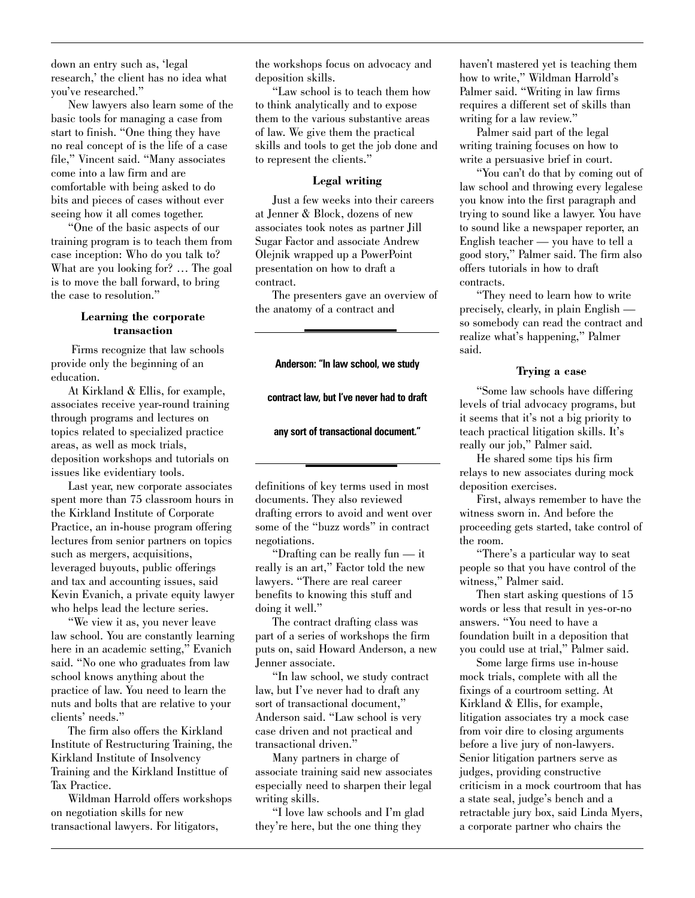down an entry such as, 'legal research,' the client has no idea what you've researched."

New lawyers also learn some of the basic tools for managing a case from start to finish. "One thing they have no real concept of is the life of a case file," Vincent said. "Many associates come into a law firm and are comfortable with being asked to do bits and pieces of cases without ever seeing how it all comes together.

"One of the basic aspects of our training program is to teach them from case inception: Who do you talk to? What are you looking for? … The goal is to move the ball forward, to bring the case to resolution."

# **Learning the corporate transaction**

Firms recognize that law schools provide only the beginning of an education.

At Kirkland & Ellis, for example, associates receive year-round training through programs and lectures on topics related to specialized practice areas, as well as mock trials, deposition workshops and tutorials on issues like evidentiary tools.

Last year, new corporate associates spent more than 75 classroom hours in the Kirkland Institute of Corporate Practice, an in-house program offering lectures from senior partners on topics such as mergers, acquisitions, leveraged buyouts, public offerings and tax and accounting issues, said Kevin Evanich, a private equity lawyer who helps lead the lecture series.

"We view it as, you never leave law school. You are constantly learning here in an academic setting," Evanich said. "No one who graduates from law school knows anything about the practice of law. You need to learn the nuts and bolts that are relative to your clients' needs."

The firm also offers the Kirkland Institute of Restructuring Training, the Kirkland Institute of Insolvency Training and the Kirkland Instittue of Tax Practice.

Wildman Harrold offers workshops on negotiation skills for new transactional lawyers. For litigators,

the workshops focus on advocacy and deposition skills.

"Law school is to teach them how to think analytically and to expose them to the various substantive areas of law. We give them the practical skills and tools to get the job done and to represent the clients."

# **Legal writing**

Just a few weeks into their careers at Jenner & Block, dozens of new associates took notes as partner Jill Sugar Factor and associate Andrew Olejnik wrapped up a PowerPoint presentation on how to draft a contract.

The presenters gave an overview of the anatomy of a contract and

### **Anderson: "In law school, we study**

**contract law, but I've never had to draft** 

#### **any sort of transactional document."**

definitions of key terms used in most documents. They also reviewed drafting errors to avoid and went over some of the "buzz words" in contract negotiations.

"Drafting can be really fun — it really is an art," Factor told the new lawyers. "There are real career benefits to knowing this stuff and doing it well."

The contract drafting class was part of a series of workshops the firm puts on, said Howard Anderson, a new Jenner associate.

"In law school, we study contract law, but I've never had to draft any sort of transactional document," Anderson said. "Law school is very case driven and not practical and transactional driven."

Many partners in charge of associate training said new associates especially need to sharpen their legal writing skills.

"I love law schools and I'm glad they're here, but the one thing they

haven't mastered yet is teaching them how to write," Wildman Harrold's Palmer said. "Writing in law firms requires a different set of skills than writing for a law review."

Palmer said part of the legal writing training focuses on how to write a persuasive brief in court.

"You can't do that by coming out of law school and throwing every legalese you know into the first paragraph and trying to sound like a lawyer. You have to sound like a newspaper reporter, an English teacher — you have to tell a good story," Palmer said. The firm also offers tutorials in how to draft contracts.

"They need to learn how to write precisely, clearly, in plain English so somebody can read the contract and realize what's happening," Palmer said.

#### **Trying a case**

"Some law schools have differing levels of trial advocacy programs, but it seems that it's not a big priority to teach practical litigation skills. It's really our job," Palmer said.

He shared some tips his firm relays to new associates during mock deposition exercises.

First, always remember to have the witness sworn in. And before the proceeding gets started, take control of the room.

"There's a particular way to seat people so that you have control of the witness," Palmer said.

Then start asking questions of 15 words or less that result in yes-or-no answers. "You need to have a foundation built in a deposition that you could use at trial," Palmer said.

Some large firms use in-house mock trials, complete with all the fixings of a courtroom setting. At Kirkland & Ellis, for example, litigation associates try a mock case from voir dire to closing arguments before a live jury of non-lawyers. Senior litigation partners serve as judges, providing constructive criticism in a mock courtroom that has a state seal, judge's bench and a retractable jury box, said Linda Myers, a corporate partner who chairs the